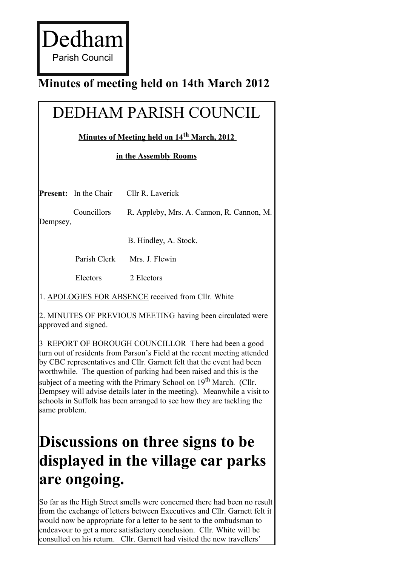Dedham Parish Council

### **Minutes of meeting held on 14th March 2012**

# DEDHAM PARISH COUNCIL

#### **Minutes of Meeting held on 14th March, 2012**

#### **in the Assembly Rooms**

|          | <b>Present:</b> In the Chair | Cllr R. Laverick                                           |
|----------|------------------------------|------------------------------------------------------------|
| Dempsey, | Councillors                  | R. Appleby, Mrs. A. Cannon, R. Cannon, M.                  |
|          |                              | B. Hindley, A. Stock.                                      |
|          | Parish Clerk                 | Mrs. J. Flewin                                             |
|          | Electors                     | 2 Electors                                                 |
|          |                              | 1. APOLOGIES FOR ABSENCE received from Cllr. White         |
|          | approved and signed.         | 2. MINUTES OF PREVIOUS MEETING having been circulated were |

3 REPORT OF BOROUGH COUNCILLOR There had been a good turn out of residents from Parson's Field at the recent meeting attended by CBC representatives and Cllr. Garnett felt that the event had been worthwhile. The question of parking had been raised and this is the subject of a meeting with the Primary School on  $19<sup>th</sup>$  March. (Cllr.) Dempsey will advise details later in the meeting). Meanwhile a visit to schools in Suffolk has been arranged to see how they are tackling the same problem.

## **Discussions on three signs to be displayed in the village car parks are ongoing.**

So far as the High Street smells were concerned there had been no result from the exchange of letters between Executives and Cllr. Garnett felt it would now be appropriate for a letter to be sent to the ombudsman to endeavour to get a more satisfactory conclusion. Cllr. White will be consulted on his return. Cllr. Garnett had visited the new travellers'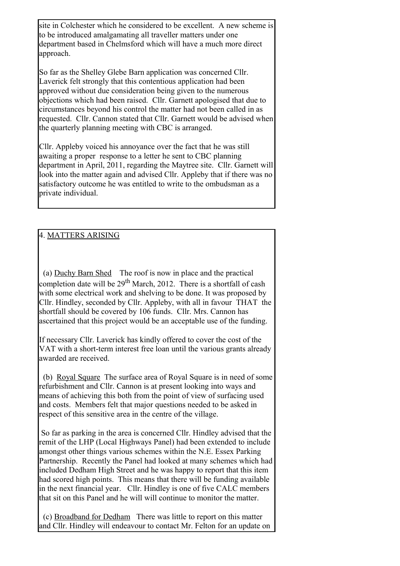site in Colchester which he considered to be excellent. A new scheme is to be introduced amalgamating all traveller matters under one department based in Chelmsford which will have a much more direct approach.

So far as the Shelley Glebe Barn application was concerned Cllr. Laverick felt strongly that this contentious application had been approved without due consideration being given to the numerous objections which had been raised. Cllr. Garnett apologised that due to circumstances beyond his control the matter had not been called in as requested. Cllr. Cannon stated that Cllr. Garnett would be advised when the quarterly planning meeting with CBC is arranged.

Cllr. Appleby voiced his annoyance over the fact that he was still awaiting a proper response to a letter he sent to CBC planning department in April, 2011, regarding the Maytree site. Cllr. Garnett will look into the matter again and advised Cllr. Appleby that if there was no satisfactory outcome he was entitled to write to the ombudsman as a private individual.

#### 4. MATTERS ARISING

(a) Duchy Barn Shed The roof is now in place and the practical completion date will be  $29<sup>th</sup>$  March, 2012. There is a shortfall of cash with some electrical work and shelving to be done. It was proposed by Cllr. Hindley, seconded by Cllr. Appleby, with all in favour THAT the shortfall should be covered by 106 funds. Cllr. Mrs. Cannon has ascertained that this project would be an acceptable use of the funding.

If necessary Cllr. Laverick has kindly offered to cover the cost of the VAT with a short-term interest free loan until the various grants already awarded are received.

(b) Royal Square The surface area of Royal Square is in need of some refurbishment and Cllr. Cannon is at present looking into ways and means of achieving this both from the point of view of surfacing used and costs. Members felt that major questions needed to be asked in respect of this sensitive area in the centre of the village.

So far as parking in the area is concerned Cllr. Hindley advised that the remit of the LHP (Local Highways Panel) had been extended to include amongst other things various schemes within the N.E. Essex Parking Partnership. Recently the Panel had looked at many schemes which had included Dedham High Street and he was happy to report that this item had scored high points. This means that there will be funding available in the next financial year. Cllr. Hindley is one of five CALC members that sit on this Panel and he will will continue to monitor the matter.

(c) Broadband for Dedham There was little to report on this matter and Cllr. Hindley will endeavour to contact Mr. Felton for an update on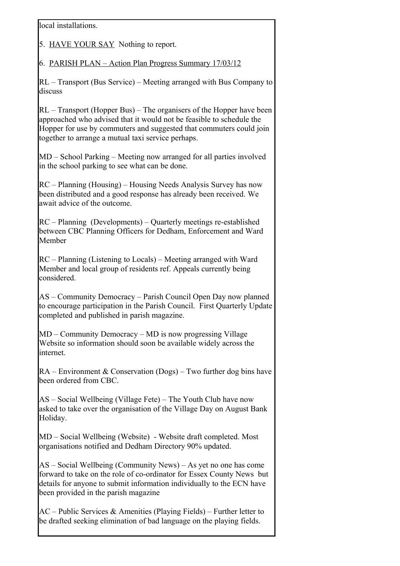local installations.

5. HAVE YOUR SAY Nothing to report.

6. PARISH PLAN – Action Plan Progress Summary 17/03/12

RL – Transport (Bus Service) – Meeting arranged with Bus Company to discuss

RL – Transport (Hopper Bus) – The organisers of the Hopper have been approached who advised that it would not be feasible to schedule the Hopper for use by commuters and suggested that commuters could join together to arrange a mutual taxi service perhaps.

MD – School Parking – Meeting now arranged for all parties involved in the school parking to see what can be done.

RC – Planning (Housing) – Housing Needs Analysis Survey has now been distributed and a good response has already been received. We await advice of the outcome.

RC – Planning (Developments) – Quarterly meetings re-established between CBC Planning Officers for Dedham, Enforcement and Ward Member

RC – Planning (Listening to Locals) – Meeting arranged with Ward Member and local group of residents ref. Appeals currently being considered.

AS – Community Democracy – Parish Council Open Day now planned to encourage participation in the Parish Council. First Quarterly Update completed and published in parish magazine.

MD – Community Democracy – MD is now progressing Village Website so information should soon be available widely across the internet.

 $RA$  – Environment & Conservation (Dogs) – Two further dog bins have been ordered from CBC

AS – Social Wellbeing (Village Fete) – The Youth Club have now asked to take over the organisation of the Village Day on August Bank Holiday.

MD – Social Wellbeing (Website) - Website draft completed. Most organisations notified and Dedham Directory 90% updated.

AS – Social Wellbeing (Community News) – As yet no one has come forward to take on the role of co-ordinator for Essex County News but details for anyone to submit information individually to the ECN have been provided in the parish magazine

 $AC$  – Public Services & Amenities (Playing Fields) – Further letter to be drafted seeking elimination of bad language on the playing fields.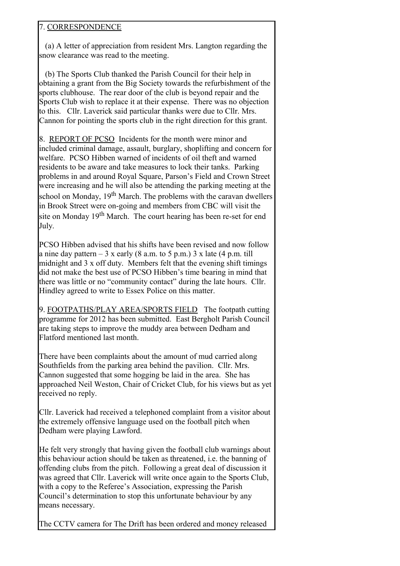#### 7. CORRESPONDENCE

(a) A letter of appreciation from resident Mrs. Langton regarding the snow clearance was read to the meeting.

(b) The Sports Club thanked the Parish Council for their help in obtaining a grant from the Big Society towards the refurbishment of the sports clubhouse. The rear door of the club is beyond repair and the Sports Club wish to replace it at their expense. There was no objection to this. Cllr. Laverick said particular thanks were due to Cllr. Mrs. Cannon for pointing the sports club in the right direction for this grant.

8. REPORT OF PCSO Incidents for the month were minor and included criminal damage, assault, burglary, shoplifting and concern for welfare. PCSO Hibben warned of incidents of oil theft and warned residents to be aware and take measures to lock their tanks. Parking problems in and around Royal Square, Parson's Field and Crown Street were increasing and he will also be attending the parking meeting at the school on Monday,  $19<sup>th</sup>$  March. The problems with the caravan dwellers in Brook Street were on-going and members from CBC will visit the site on Monday  $19<sup>th</sup>$  March. The court hearing has been re-set for end July.

PCSO Hibben advised that his shifts have been revised and now follow a nine day pattern  $-3x$  early (8 a.m. to 5 p.m.) 3 x late (4 p.m. till midnight and 3 x off duty. Members felt that the evening shift timings did not make the best use of PCSO Hibben's time bearing in mind that there was little or no "community contact" during the late hours. Cllr. Hindley agreed to write to Essex Police on this matter.

9. FOOTPATHS/PLAY AREA/SPORTS FIELD The footpath cutting programme for 2012 has been submitted. East Bergholt Parish Council are taking steps to improve the muddy area between Dedham and Flatford mentioned last month.

There have been complaints about the amount of mud carried along Southfields from the parking area behind the pavilion. Cllr. Mrs. Cannon suggested that some hogging be laid in the area. She has approached Neil Weston, Chair of Cricket Club, for his views but as yet received no reply.

Cllr. Laverick had received a telephoned complaint from a visitor about the extremely offensive language used on the football pitch when Dedham were playing Lawford.

He felt very strongly that having given the football club warnings about this behaviour action should be taken as threatened, i.e. the banning of offending clubs from the pitch. Following a great deal of discussion it was agreed that Cllr. Laverick will write once again to the Sports Club, with a copy to the Referee's Association, expressing the Parish Council's determination to stop this unfortunate behaviour by any means necessary.

The CCTV camera for The Drift has been ordered and money released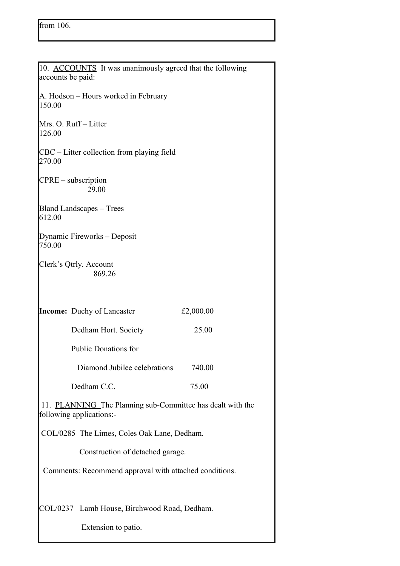| 10. ACCOUNTS It was unanimously agreed that the following<br>accounts be paid:         |  |  |  |
|----------------------------------------------------------------------------------------|--|--|--|
| A. Hodson - Hours worked in February<br>150.00                                         |  |  |  |
| Mrs. O. Ruff-Litter<br>126.00                                                          |  |  |  |
| CBC – Litter collection from playing field<br>270.00                                   |  |  |  |
| $CPRE$ – subscription<br>29.00                                                         |  |  |  |
| <b>Bland Landscapes – Trees</b><br>612.00                                              |  |  |  |
| Dynamic Fireworks – Deposit<br>750.00                                                  |  |  |  |
| Clerk's Qtrly. Account<br>869.26                                                       |  |  |  |
| <b>Income:</b> Duchy of Lancaster<br>£2,000.00                                         |  |  |  |
| 25.00<br>Dedham Hort. Society                                                          |  |  |  |
| <b>Public Donations for</b>                                                            |  |  |  |
| Diamond Jubilee celebrations<br>740.00                                                 |  |  |  |
| Dedham C.C.<br>75.00                                                                   |  |  |  |
| 11. PLANNING The Planning sub-Committee has dealt with the<br>following applications:- |  |  |  |
| COL/0285 The Limes, Coles Oak Lane, Dedham.                                            |  |  |  |
| Construction of detached garage.                                                       |  |  |  |
| Comments: Recommend approval with attached conditions.                                 |  |  |  |
| COL/0237 Lamb House, Birchwood Road, Dedham.                                           |  |  |  |
| Extension to patio.                                                                    |  |  |  |